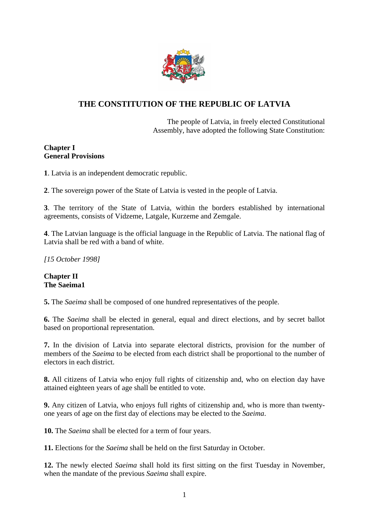

# **THE CONSTITUTION OF THE REPUBLIC OF LATVIA**

The people of Latvia, in freely elected Constitutional Assembly, have adopted the following State Constitution:

# **Chapter I General Provisions**

**1**. Latvia is an independent democratic republic.

**2**. The sovereign power of the State of Latvia is vested in the people of Latvia.

**3**. The territory of the State of Latvia, within the borders established by international agreements, consists of Vidzeme, Latgale, Kurzeme and Zemgale.

**4**. The Latvian language is the official language in the Republic of Latvia. The national flag of Latvia shall be red with a band of white.

*[15 October 1998]*

# **Chapter II The Saeima1**

**5.** The *Saeima* shall be composed of one hundred representatives of the people.

**6.** The *Saeima* shall be elected in general, equal and direct elections, and by secret ballot based on proportional representation.

**7.** In the division of Latvia into separate electoral districts, provision for the number of members of the *Saeima* to be elected from each district shall be proportional to the number of electors in each district.

**8.** All citizens of Latvia who enjoy full rights of citizenship and, who on election day have attained eighteen years of age shall be entitled to vote.

**9.** Any citizen of Latvia, who enjoys full rights of citizenship and, who is more than twentyone years of age on the first day of elections may be elected to the *Saeima*.

**10.** The *Saeima* shall be elected for a term of four years.

**11.** Elections for the *Saeima* shall be held on the first Saturday in October.

**12.** The newly elected *Saeima* shall hold its first sitting on the first Tuesday in November, when the mandate of the previous *Saeima* shall expire.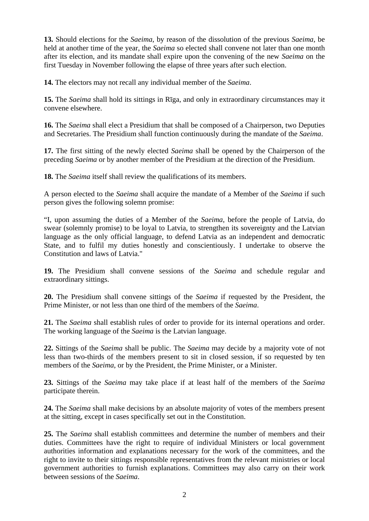**13.** Should elections for the *Saeima*, by reason of the dissolution of the previous *Saeima*, be held at another time of the year, the *Saeima* so elected shall convene not later than one month after its election, and its mandate shall expire upon the convening of the new *Saeima* on the first Tuesday in November following the elapse of three years after such election.

**14.** The electors may not recall any individual member of the *Saeima*.

**15.** The *Saeima* shall hold its sittings in Rīga, and only in extraordinary circumstances may it convene elsewhere.

**16.** The *Saeima* shall elect a Presidium that shall be composed of a Chairperson, two Deputies and Secretaries. The Presidium shall function continuously during the mandate of the *Saeima*.

**17.** The first sitting of the newly elected *Saeima* shall be opened by the Chairperson of the preceding *Saeima* or by another member of the Presidium at the direction of the Presidium.

**18.** The *Saeima* itself shall review the qualifications of its members.

A person elected to the *Saeima* shall acquire the mandate of a Member of the *Saeima* if such person gives the following solemn promise:

"I, upon assuming the duties of a Member of the *Saeima*, before the people of Latvia, do swear (solemnly promise) to be loyal to Latvia, to strengthen its sovereignty and the Latvian language as the only official language, to defend Latvia as an independent and democratic State, and to fulfil my duties honestly and conscientiously. I undertake to observe the Constitution and laws of Latvia."

**19.** The Presidium shall convene sessions of the *Saeima* and schedule regular and extraordinary sittings.

**20.** The Presidium shall convene sittings of the *Saeima* if requested by the President, the Prime Minister, or not less than one third of the members of the *Saeima*.

**21.** The *Saeima* shall establish rules of order to provide for its internal operations and order. The working language of the *Saeima* is the Latvian language.

**22.** Sittings of the *Saeima* shall be public. The *Saeima* may decide by a majority vote of not less than two-thirds of the members present to sit in closed session, if so requested by ten members of the *Saeima*, or by the President, the Prime Minister, or a Minister.

**23.** Sittings of the *Saeima* may take place if at least half of the members of the *Saeima* participate therein.

**24.** The *Saeima* shall make decisions by an absolute majority of votes of the members present at the sitting, except in cases specifically set out in the Constitution.

**25.** The *Saeima* shall establish committees and determine the number of members and their duties. Committees have the right to require of individual Ministers or local government authorities information and explanations necessary for the work of the committees, and the right to invite to their sittings responsible representatives from the relevant ministries or local government authorities to furnish explanations. Committees may also carry on their work between sessions of the *Saeima*.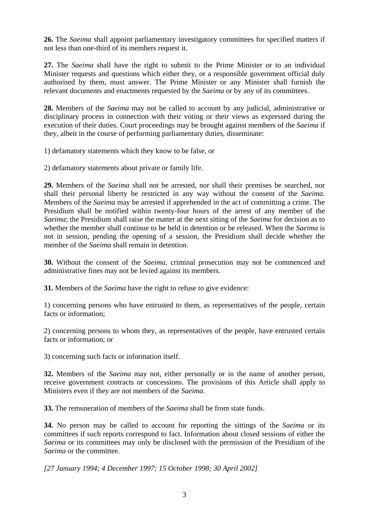**26.** The *Saeima* shall appoint parliamentary investigatory committees for specified matters if not less than one-third of its members request it.

**27.** The *Saeima* shall have the right to submit to the Prime Minister or to an individual Minister requests and questions which either they, or a responsible government official duly authorised by them, must answer. The Prime Minister or any Minister shall furnish the relevant documents and enactments requested by the *Saeima* or by any of its committees.

**28.** Members of the *Saeima* may not be called to account by any judicial, administrative or disciplinary process in connection with their voting or their views as expressed during the execution of their duties. Court proceedings may be brought against members of the *Saeima* if they, albeit in the course of performing parliamentary duties, disseminate:

1) defamatory statements which they know to be false, or

2) defamatory statements about private or family life.

**29.** Members of the *Saeima* shall not be arrested, nor shall their premises be searched, nor shall their personal liberty be restricted in any way without the consent of the *Saeima*. Members of the *Saeima* may be arrested if apprehended in the act of committing a crime. The Presidium shall be notified within twenty-four hours of the arrest of any member of the *Saeima*; the Presidium shall raise the matter at the next sitting of the *Saeima* for decision as to whether the member shall continue to be held in detention or be released. When the *Saeima* is not in session, pending the opening of a session, the Presidium shall decide whether the member of the *Saeima* shall remain in detention.

**30.** Without the consent of the *Saeima*, criminal prosecution may not be commenced and administrative fines may not be levied against its members.

**31.** Members of the *Saeima* have the right to refuse to give evidence:

1) concerning persons who have entrusted to them, as representatives of the people, certain facts or information;

2) concerning persons to whom they, as representatives of the people, have entrusted certain facts or information; or

3) concerning such facts or information itself.

**32.** Members of the *Saeima* may not, either personally or in the name of another person, receive government contracts or concessions. The provisions of this Article shall apply to Ministers even if they are not members of the *Saeima*.

**33.** The remuneration of members of the *Saeima* shall be from state funds.

**34.** No person may be called to account for reporting the sittings of the *Saeima* or its committees if such reports correspond to fact. Information about closed sessions of either the *Saeima* or its committees may only be disclosed with the permission of the Presidium of the *Saeima* or the committee.

*[27 January 1994; 4 December 1997; 15 October 1998; 30 April 2002]*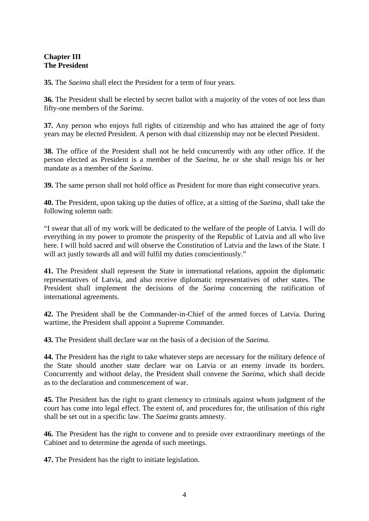# **Chapter III The President**

**35.** The *Saeima* shall elect the President for a term of four years.

**36.** The President shall be elected by secret ballot with a majority of the votes of not less than fifty-one members of the *Saeima*.

**37.** Any person who enjoys full rights of citizenship and who has attained the age of forty years may be elected President. A person with dual citizenship may not be elected President.

**38.** The office of the President shall not be held concurrently with any other office. If the person elected as President is a member of the *Saeima*, he or she shall resign his or her mandate as a member of the *Saeima*.

**39.** The same person shall not hold office as President for more than eight consecutive years.

**40.** The President, upon taking up the duties of office, at a sitting of the *Saeima*, shall take the following solemn oath:

"I swear that all of my work will be dedicated to the welfare of the people of Latvia. I will do everything in my power to promote the prosperity of the Republic of Latvia and all who live here. I will hold sacred and will observe the Constitution of Latvia and the laws of the State. I will act justly towards all and will fulfil my duties conscientiously."

**41.** The President shall represent the State in international relations, appoint the diplomatic representatives of Latvia, and also receive diplomatic representatives of other states. The President shall implement the decisions of the *Saeima* concerning the ratification of international agreements.

**42.** The President shall be the Commander-in-Chief of the armed forces of Latvia. During wartime, the President shall appoint a Supreme Commander.

**43.** The President shall declare war on the basis of a decision of the *Saeima*.

**44.** The President has the right to take whatever steps are necessary for the military defence of the State should another state declare war on Latvia or an enemy invade its borders. Concurrently and without delay, the President shall convene the *Saeima*, which shall decide as to the declaration and commencement of war.

**45.** The President has the right to grant clemency to criminals against whom judgment of the court has come into legal effect. The extent of, and procedures for, the utilisation of this right shall be set out in a specific law. The *Saeima* grants amnesty.

**46.** The President has the right to convene and to preside over extraordinary meetings of the Cabinet and to determine the agenda of such meetings.

**47.** The President has the right to initiate legislation.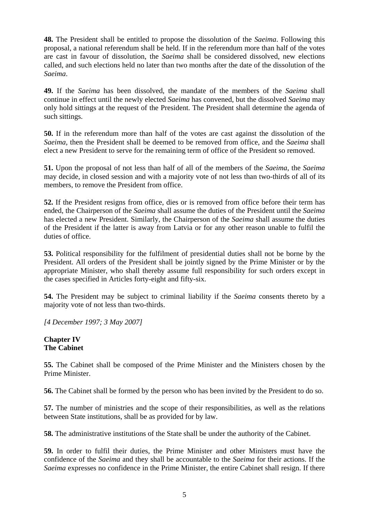**48.** The President shall be entitled to propose the dissolution of the *Saeima*. Following this proposal, a national referendum shall be held. If in the referendum more than half of the votes are cast in favour of dissolution, the *Saeima* shall be considered dissolved, new elections called, and such elections held no later than two months after the date of the dissolution of the *Saeima*.

**49.** If the *Saeima* has been dissolved, the mandate of the members of the *Saeima* shall continue in effect until the newly elected *Saeima* has convened, but the dissolved *Saeima* may only hold sittings at the request of the President. The President shall determine the agenda of such sittings.

**50.** If in the referendum more than half of the votes are cast against the dissolution of the *Saeima*, then the President shall be deemed to be removed from office, and the *Saeima* shall elect a new President to serve for the remaining term of office of the President so removed.

**51.** Upon the proposal of not less than half of all of the members of the *Saeima*, the *Saeima* may decide, in closed session and with a majority vote of not less than two-thirds of all of its members, to remove the President from office.

**52.** If the President resigns from office, dies or is removed from office before their term has ended, the Chairperson of the *Saeima* shall assume the duties of the President until the *Saeima* has elected a new President. Similarly, the Chairperson of the *Saeima* shall assume the duties of the President if the latter is away from Latvia or for any other reason unable to fulfil the duties of office.

**53.** Political responsibility for the fulfilment of presidential duties shall not be borne by the President. All orders of the President shall be jointly signed by the Prime Minister or by the appropriate Minister, who shall thereby assume full responsibility for such orders except in the cases specified in Articles forty-eight and fifty-six.

**54.** The President may be subject to criminal liability if the *Saeima* consents thereto by a majority vote of not less than two-thirds.

*[4 December 1997; 3 May 2007]* 

### **Chapter IV The Cabinet**

**55.** The Cabinet shall be composed of the Prime Minister and the Ministers chosen by the Prime Minister.

**56.** The Cabinet shall be formed by the person who has been invited by the President to do so.

**57.** The number of ministries and the scope of their responsibilities, as well as the relations between State institutions, shall be as provided for by law.

**58.** The administrative institutions of the State shall be under the authority of the Cabinet.

**59.** In order to fulfil their duties, the Prime Minister and other Ministers must have the confidence of the *Saeima* and they shall be accountable to the *Saeima* for their actions. If the *Saeima* expresses no confidence in the Prime Minister, the entire Cabinet shall resign. If there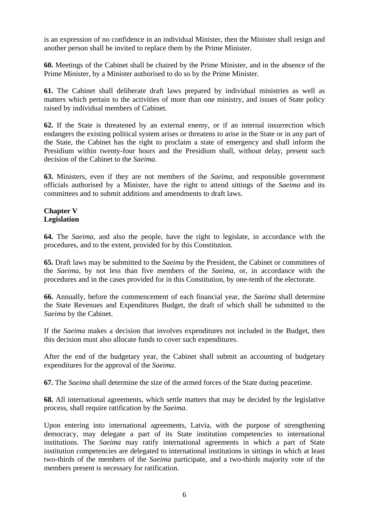is an expression of no confidence in an individual Minister, then the Minister shall resign and another person shall be invited to replace them by the Prime Minister.

**60.** Meetings of the Cabinet shall be chaired by the Prime Minister, and in the absence of the Prime Minister, by a Minister authorised to do so by the Prime Minister.

**61.** The Cabinet shall deliberate draft laws prepared by individual ministries as well as matters which pertain to the activities of more than one ministry, and issues of State policy raised by individual members of Cabinet.

**62.** If the State is threatened by an external enemy, or if an internal insurrection which endangers the existing political system arises or threatens to arise in the State or in any part of the State, the Cabinet has the right to proclaim a state of emergency and shall inform the Presidium within twenty-four hours and the Presidium shall, without delay, present such decision of the Cabinet to the *Saeima*.

**63.** Ministers, even if they are not members of the *Saeima*, and responsible government officials authorised by a Minister, have the right to attend sittings of the *Saeima* and its committees and to submit additions and amendments to draft laws.

## **Chapter V Legislation**

**64.** The *Saeima*, and also the people, have the right to legislate, in accordance with the procedures, and to the extent, provided for by this Constitution.

**65.** Draft laws may be submitted to the *Saeima* by the President, the Cabinet or committees of the *Saeima*, by not less than five members of the *Saeima*, or, in accordance with the procedures and in the cases provided for in this Constitution, by one-tenth of the electorate.

**66.** Annually, before the commencement of each financial year, the *Saeima* shall determine the State Revenues and Expenditures Budget, the draft of which shall be submitted to the *Saeima* by the Cabinet.

If the *Saeima* makes a decision that involves expenditures not included in the Budget, then this decision must also allocate funds to cover such expenditures.

After the end of the budgetary year, the Cabinet shall submit an accounting of budgetary expenditures for the approval of the *Saeima*.

**67.** The *Saeima* shall determine the size of the armed forces of the State during peacetime.

**68.** All international agreements, which settle matters that may be decided by the legislative process, shall require ratification by the *Saeima*.

Upon entering into international agreements, Latvia, with the purpose of strengthening democracy, may delegate a part of its State institution competencies to international institutions. The *Saeima* may ratify international agreements in which a part of State institution competencies are delegated to international institutions in sittings in which at least two-thirds of the members of the *Saeima* participate, and a two-thirds majority vote of the members present is necessary for ratification.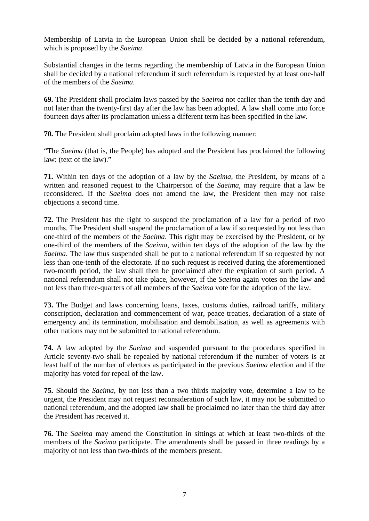Membership of Latvia in the European Union shall be decided by a national referendum, which is proposed by the *Saeima*.

Substantial changes in the terms regarding the membership of Latvia in the European Union shall be decided by a national referendum if such referendum is requested by at least one-half of the members of the *Saeima*.

**69.** The President shall proclaim laws passed by the *Saeima* not earlier than the tenth day and not later than the twenty-first day after the law has been adopted. A law shall come into force fourteen days after its proclamation unless a different term has been specified in the law.

**70.** The President shall proclaim adopted laws in the following manner:

"The *Saeima* (that is, the People) has adopted and the President has proclaimed the following law: (text of the law)."

**71.** Within ten days of the adoption of a law by the *Saeima*, the President, by means of a written and reasoned request to the Chairperson of the *Saeima*, may require that a law be reconsidered. If the *Saeima* does not amend the law, the President then may not raise objections a second time.

**72.** The President has the right to suspend the proclamation of a law for a period of two months. The President shall suspend the proclamation of a law if so requested by not less than one-third of the members of the *Saeima*. This right may be exercised by the President, or by one-third of the members of the *Saeima*, within ten days of the adoption of the law by the *Saeima*. The law thus suspended shall be put to a national referendum if so requested by not less than one-tenth of the electorate. If no such request is received during the aforementioned two-month period, the law shall then be proclaimed after the expiration of such period. A national referendum shall not take place, however, if the *Saeima* again votes on the law and not less than three-quarters of all members of the *Saeima* vote for the adoption of the law.

**73.** The Budget and laws concerning loans, taxes, customs duties, railroad tariffs, military conscription, declaration and commencement of war, peace treaties, declaration of a state of emergency and its termination, mobilisation and demobilisation, as well as agreements with other nations may not be submitted to national referendum.

**74.** A law adopted by the *Saeima* and suspended pursuant to the procedures specified in Article seventy-two shall be repealed by national referendum if the number of voters is at least half of the number of electors as participated in the previous *Saeima* election and if the majority has voted for repeal of the law.

**75.** Should the *Saeima*, by not less than a two thirds majority vote, determine a law to be urgent, the President may not request reconsideration of such law, it may not be submitted to national referendum, and the adopted law shall be proclaimed no later than the third day after the President has received it.

**76.** The *Saeima* may amend the Constitution in sittings at which at least two-thirds of the members of the *Saeima* participate. The amendments shall be passed in three readings by a majority of not less than two-thirds of the members present.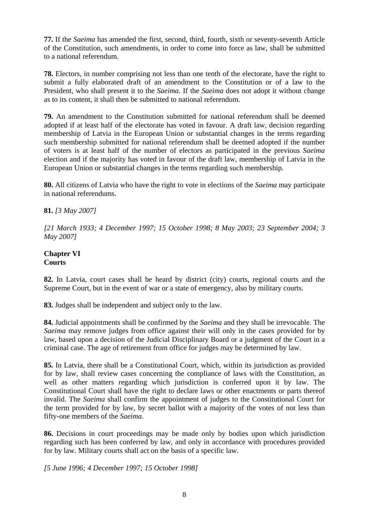**77.** If the *Saeima* has amended the first, second, third, fourth, sixth or seventy-seventh Article of the Constitution, such amendments, in order to come into force as law, shall be submitted to a national referendum.

**78.** Electors, in number comprising not less than one tenth of the electorate, have the right to submit a fully elaborated draft of an amendment to the Constitution or of a law to the President, who shall present it to the *Saeima*. If the *Saeima* does not adopt it without change as to its content, it shall then be submitted to national referendum.

**79.** An amendment to the Constitution submitted for national referendum shall be deemed adopted if at least half of the electorate has voted in favour. A draft law, decision regarding membership of Latvia in the European Union or substantial changes in the terms regarding such membership submitted for national referendum shall be deemed adopted if the number of voters is at least half of the number of electors as participated in the previous *Saeima* election and if the majority has voted in favour of the draft law, membership of Latvia in the European Union or substantial changes in the terms regarding such membership.

**80.** All citizens of Latvia who have the right to vote in elections of the *Saeima* may participate in national referendums.

# **81.** *[3 May 2007]*

*[21 March 1933; 4 December 1997; 15 October 1998; 8 May 2003; 23 September 2004; 3 May 2007]* 

## **Chapter VI Courts**

**82.** In Latvia, court cases shall be heard by district (city) courts, regional courts and the Supreme Court, but in the event of war or a state of emergency, also by military courts.

**83.** Judges shall be independent and subject only to the law.

**84.** Judicial appointments shall be confirmed by the *Saeima* and they shall be irrevocable. The *Saeima* may remove judges from office against their will only in the cases provided for by law, based upon a decision of the Judicial Disciplinary Board or a judgment of the Court in a criminal case. The age of retirement from office for judges may be determined by law.

**85.** In Latvia, there shall be a Constitutional Court, which, within its jurisdiction as provided for by law, shall review cases concerning the compliance of laws with the Constitution, as well as other matters regarding which jurisdiction is conferred upon it by law. The Constitutional Court shall have the right to declare laws or other enactments or parts thereof invalid. The *Saeima* shall confirm the appointment of judges to the Constitutional Court for the term provided for by law, by secret ballot with a majority of the votes of not less than fifty-one members of the *Saeima*.

**86.** Decisions in court proceedings may be made only by bodies upon which jurisdiction regarding such has been conferred by law, and only in accordance with procedures provided for by law. Military courts shall act on the basis of a specific law.

*[5 June 1996; 4 December 1997; 15 October 1998]*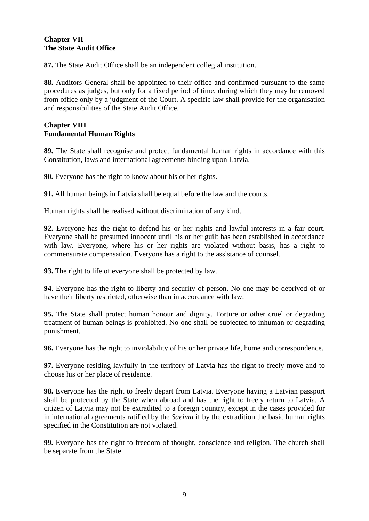# **Chapter VII The State Audit Office**

**87.** The State Audit Office shall be an independent collegial institution.

**88.** Auditors General shall be appointed to their office and confirmed pursuant to the same procedures as judges, but only for a fixed period of time, during which they may be removed from office only by a judgment of the Court. A specific law shall provide for the organisation and responsibilities of the State Audit Office.

## **Chapter VIII Fundamental Human Rights**

**89.** The State shall recognise and protect fundamental human rights in accordance with this Constitution, laws and international agreements binding upon Latvia.

**90.** Everyone has the right to know about his or her rights.

**91.** All human beings in Latvia shall be equal before the law and the courts.

Human rights shall be realised without discrimination of any kind.

**92.** Everyone has the right to defend his or her rights and lawful interests in a fair court. Everyone shall be presumed innocent until his or her guilt has been established in accordance with law. Everyone, where his or her rights are violated without basis, has a right to commensurate compensation. Everyone has a right to the assistance of counsel.

**93.** The right to life of everyone shall be protected by law.

**94**. Everyone has the right to liberty and security of person. No one may be deprived of or have their liberty restricted, otherwise than in accordance with law.

**95.** The State shall protect human honour and dignity. Torture or other cruel or degrading treatment of human beings is prohibited. No one shall be subjected to inhuman or degrading punishment.

**96.** Everyone has the right to inviolability of his or her private life, home and correspondence.

**97.** Everyone residing lawfully in the territory of Latvia has the right to freely move and to choose his or her place of residence.

**98.** Everyone has the right to freely depart from Latvia. Everyone having a Latvian passport shall be protected by the State when abroad and has the right to freely return to Latvia. A citizen of Latvia may not be extradited to a foreign country, except in the cases provided for in international agreements ratified by the *Saeima* if by the extradition the basic human rights specified in the Constitution are not violated.

**99.** Everyone has the right to freedom of thought, conscience and religion. The church shall be separate from the State.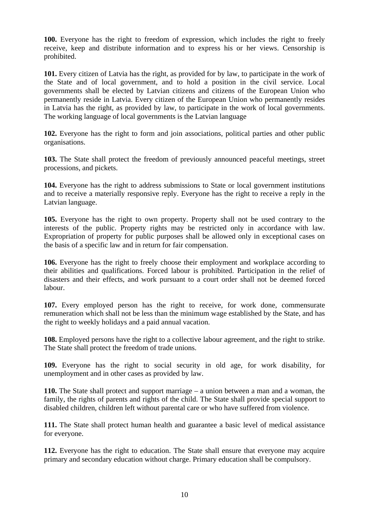**100.** Everyone has the right to freedom of expression, which includes the right to freely receive, keep and distribute information and to express his or her views. Censorship is prohibited.

**101.** Every citizen of Latvia has the right, as provided for by law, to participate in the work of the State and of local government, and to hold a position in the civil service. Local governments shall be elected by Latvian citizens and citizens of the European Union who permanently reside in Latvia. Every citizen of the European Union who permanently resides in Latvia has the right, as provided by law, to participate in the work of local governments. The working language of local governments is the Latvian language

**102.** Everyone has the right to form and join associations, political parties and other public organisations.

**103.** The State shall protect the freedom of previously announced peaceful meetings, street processions, and pickets.

**104.** Everyone has the right to address submissions to State or local government institutions and to receive a materially responsive reply. Everyone has the right to receive a reply in the Latvian language.

**105.** Everyone has the right to own property. Property shall not be used contrary to the interests of the public. Property rights may be restricted only in accordance with law. Expropriation of property for public purposes shall be allowed only in exceptional cases on the basis of a specific law and in return for fair compensation.

**106.** Everyone has the right to freely choose their employment and workplace according to their abilities and qualifications. Forced labour is prohibited. Participation in the relief of disasters and their effects, and work pursuant to a court order shall not be deemed forced labour.

**107.** Every employed person has the right to receive, for work done, commensurate remuneration which shall not be less than the minimum wage established by the State, and has the right to weekly holidays and a paid annual vacation.

**108.** Employed persons have the right to a collective labour agreement, and the right to strike. The State shall protect the freedom of trade unions.

**109.** Everyone has the right to social security in old age, for work disability, for unemployment and in other cases as provided by law.

**110.** The State shall protect and support marriage – a union between a man and a woman, the family, the rights of parents and rights of the child. The State shall provide special support to disabled children, children left without parental care or who have suffered from violence.

**111.** The State shall protect human health and guarantee a basic level of medical assistance for everyone.

**112.** Everyone has the right to education. The State shall ensure that everyone may acquire primary and secondary education without charge. Primary education shall be compulsory.